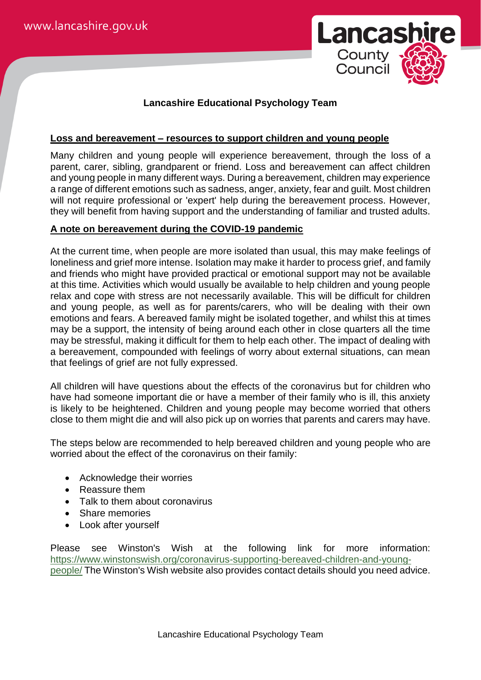

# **Lancashire Educational Psychology Team**

# **Loss and bereavement – resources to support children and young people**

Many children and young people will experience bereavement, through the loss of a parent, carer, sibling, grandparent or friend. Loss and bereavement can affect children and young people in many different ways. During a bereavement, children may experience a range of different emotions such as sadness, anger, anxiety, fear and guilt. Most children will not require professional or 'expert' help during the bereavement process. However, they will benefit from having support and the understanding of familiar and trusted adults.

# **A note on bereavement during the COVID-19 pandemic**

At the current time, when people are more isolated than usual, this may make feelings of loneliness and grief more intense. Isolation may make it harder to process grief, and family and friends who might have provided practical or emotional support may not be available at this time. Activities which would usually be available to help children and young people relax and cope with stress are not necessarily available. This will be difficult for children and young people, as well as for parents/carers, who will be dealing with their own emotions and fears. A bereaved family might be isolated together, and whilst this at times may be a support, the intensity of being around each other in close quarters all the time may be stressful, making it difficult for them to help each other. The impact of dealing with a bereavement, compounded with feelings of worry about external situations, can mean that feelings of grief are not fully expressed.

All children will have questions about the effects of the coronavirus but for children who have had someone important die or have a member of their family who is ill, this anxiety is likely to be heightened. Children and young people may become worried that others close to them might die and will also pick up on worries that parents and carers may have.

The steps below are recommended to help bereaved children and young people who are worried about the effect of the coronavirus on their family:

- Acknowledge their worries
- Reassure them
- Talk to them about coronavirus
- Share memories
- Look after yourself

Please see Winston's Wish at the following link for more information: [https://www.winstonswish.org/coronavirus-supporting-bereaved-children-and-young](https://www.winstonswish.org/coronavirus-supporting-bereaved-children-and-young-people/)[people/](https://www.winstonswish.org/coronavirus-supporting-bereaved-children-and-young-people/) The Winston's Wish website also provides contact details should you need advice.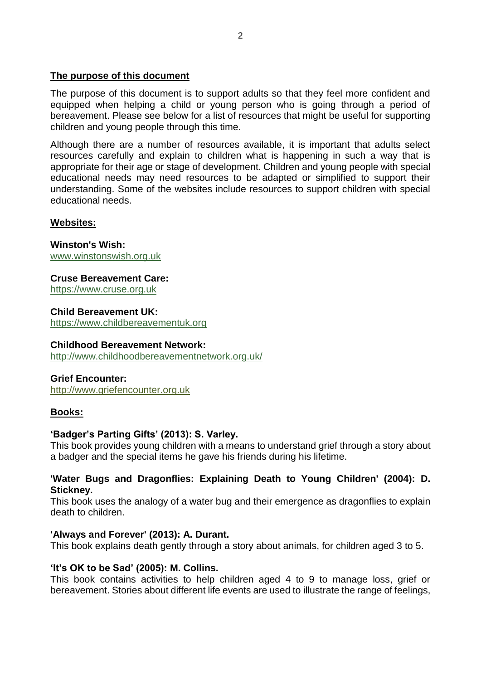# **The purpose of this document**

The purpose of this document is to support adults so that they feel more confident and equipped when helping a child or young person who is going through a period of bereavement. Please see below for a list of resources that might be useful for supporting children and young people through this time.

Although there are a number of resources available, it is important that adults select resources carefully and explain to children what is happening in such a way that is appropriate for their age or stage of development. Children and young people with special educational needs may need resources to be adapted or simplified to support their understanding. Some of the websites include resources to support children with special educational needs.

# **Websites:**

**Winston's Wish:**  [www.winstonswish.org.uk](http://www.winstonswish.org.uk/)

**Cruse Bereavement Care:**

[https://www.cruse.org.uk](https://www.cruse.org.uk/)

## **Child Bereavement UK:**

[https://www.childbereavementuk.org](https://www.childbereavementuk.org/)

### **Childhood Bereavement Network:**

<http://www.childhoodbereavementnetwork.org.uk/>

# **Grief Encounter:**

[http://www.griefencounter.org.uk](http://www.griefencounter.org.uk/)

# **Books:**

### **'Badger's Parting Gifts' (2013): S. Varley.**

This book provides young children with a means to understand grief through a story about a badger and the special items he gave his friends during his lifetime.

# **'Water Bugs and Dragonflies: Explaining Death to Young Children' (2004): D. Stickney.**

This book uses the analogy of a water bug and their emergence as dragonflies to explain death to children.

### **'Always and Forever' (2013): A. Durant.**

This book explains death gently through a story about animals, for children aged 3 to 5.

# **'It's OK to be Sad' (2005): M. Collins.**

This book contains activities to help children aged 4 to 9 to manage loss, grief or bereavement. Stories about different life events are used to illustrate the range of feelings,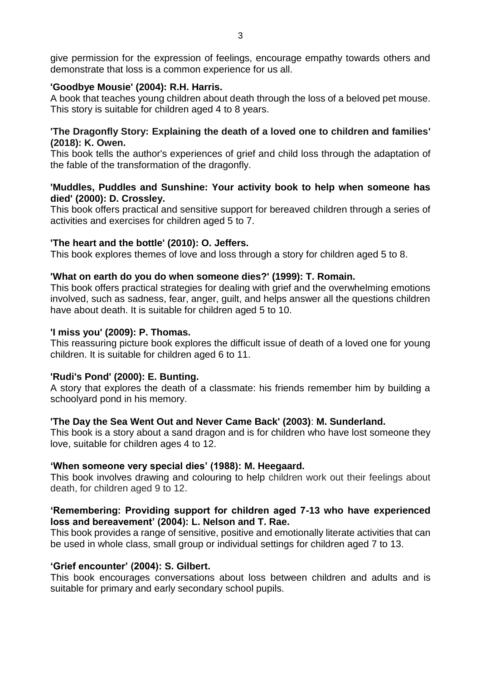give permission for the expression of feelings, encourage empathy towards others and demonstrate that loss is a common experience for us all.

### **'Goodbye Mousie' (2004): R.H. Harris.**

A book that teaches young children about death through the loss of a beloved pet mouse. This story is suitable for children aged 4 to 8 years.

### **'The Dragonfly Story: Explaining the death of a loved one to children and families' (2018): K. Owen.**

This book tells the author's experiences of grief and child loss through the adaptation of the fable of the transformation of the dragonfly.

### **'Muddles, Puddles and Sunshine: Your activity book to help when someone has died' (2000): D. Crossley.**

This book offers practical and sensitive support for bereaved children through a series of activities and exercises for children aged 5 to 7.

### **'The heart and the bottle' (2010): O. Jeffers.**

This book explores themes of love and loss through a story for children aged 5 to 8.

#### **'What on earth do you do when someone dies?' (1999): T. Romain.**

This book offers practical strategies for dealing with grief and the overwhelming emotions involved, such as sadness, fear, anger, guilt, and helps answer all the questions children have about death. It is suitable for children aged 5 to 10.

#### **'I miss you' (2009): P. Thomas.**

This reassuring picture book explores the difficult issue of death of a loved one for young children. It is suitable for children aged 6 to 11.

### **'Rudi's Pond' (2000): E. Bunting.**

A story that explores the death of a classmate: his friends remember him by building a schoolyard pond in his memory.

### **'The Day the Sea Went Out and Never Came Back' (2003)**: **M. Sunderland.**

This book is a story about a sand dragon and is for children who have lost someone they love, suitable for children ages 4 to 12.

# **'When someone very special dies' (1988): M. Heegaard.**

This book involves drawing and colouring to help children work out their feelings about death, for children aged 9 to 12.

### **'Remembering: Providing support for children aged 7-13 who have experienced loss and bereavement' (2004): L. Nelson and T. Rae.**

This book provides a range of sensitive, positive and emotionally literate activities that can be used in whole class, small group or individual settings for children aged 7 to 13.

### **'Grief encounter' (2004): S. Gilbert.**

This book encourages conversations about loss between children and adults and is suitable for primary and early secondary school pupils.